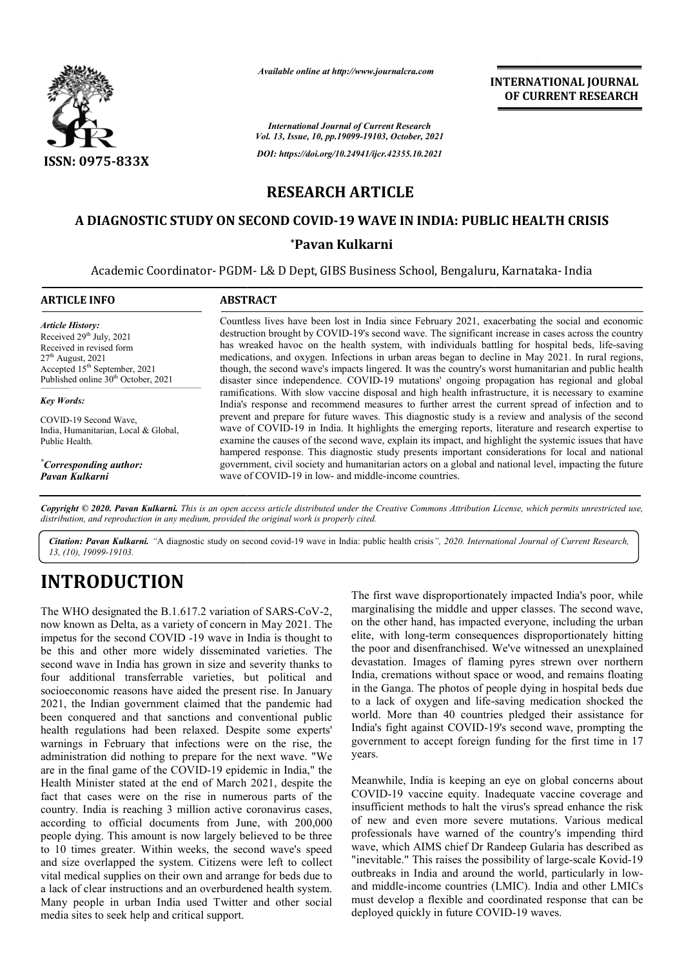

*Available online at http://www.journalcra.com*

**INTERNATIONAL JOURNAL OF CURRENT RESEARCH**

*International Journal of Current Research Vol. 13, Issue, 10, pp.19099-19103, October, 2021 DOI: https://doi.org/10.24941/ijcr.42355.10.2021*

## **RESEARCH ARTICLE**

## **A DIAGNOSTIC STUDY ON SECOND COVID COVID-19 WAVE IN INDIA: PUBLIC HEALTH CRISIS 19 WAVE PUBLIC HEALTH**

## **\*Pavan Kulkarni**

Academic Coordinator- PGDM- L& D Dept, GIBS Business School, Bengaluru, Karnataka- India

| <b>ARTICLE INFO</b>                                                                                                                                                                                                | <b>ABSTRACT</b>                                                                                                                                                                                                                                                                                                                                                                                                                                                                                                                                                                                                             |
|--------------------------------------------------------------------------------------------------------------------------------------------------------------------------------------------------------------------|-----------------------------------------------------------------------------------------------------------------------------------------------------------------------------------------------------------------------------------------------------------------------------------------------------------------------------------------------------------------------------------------------------------------------------------------------------------------------------------------------------------------------------------------------------------------------------------------------------------------------------|
| <b>Article History:</b><br>Received 29 <sup>th</sup> July, 2021<br>Received in revised form<br>$27th$ August, 2021<br>Accepted 15 <sup>th</sup> September, 2021<br>Published online 30 <sup>th</sup> October, 2021 | Countless lives have been lost in India since February 2021, exacerbating the social and economic<br>destruction brought by COVID-19's second wave. The significant increase in cases across the country<br>has wreaked havoc on the health system, with individuals battling for hospital beds, life-saving<br>medications, and oxygen. Infections in urban areas began to decline in May 2021. In rural regions,<br>though, the second wave's impacts lingered. It was the country's worst humanitarian and public health<br>disaster since independence. COVID-19 mutations' ongoing propagation has regional and global |
| <b>Key Words:</b>                                                                                                                                                                                                  | ramifications. With slow vaccine disposal and high health infrastructure, it is necessary to examine<br>India's response and recommend measures to further arrest the current spread of infection and to                                                                                                                                                                                                                                                                                                                                                                                                                    |
| COVID-19 Second Wave.<br>India, Humanitarian, Local & Global,<br>Public Health.                                                                                                                                    | prevent and prepare for future waves. This diagnostic study is a review and analysis of the second<br>wave of COVID-19 in India. It highlights the emerging reports, literature and research expertise to<br>examine the causes of the second wave, explain its impact, and highlight the systemic issues that have<br>hampered response. This diagnostic study presents important considerations for local and national                                                                                                                                                                                                    |
| "Corresponding author:<br>Pavan Kulkarni                                                                                                                                                                           | government, civil society and humanitarian actors on a global and national level, impacting the future<br>wave of COVID-19 in low- and middle-income countries.                                                                                                                                                                                                                                                                                                                                                                                                                                                             |

Copyright © 2020. Pavan Kulkarni. This is an open access article distributed under the Creative Commons Attribution License, which permits unrestricted use, *distribution, and reproduction in any medium, provided the original work is properly cited.*

Citation: Pavan Kulkarni. "A diagnostic study on second covid-19 wave in India: public health crisis", 2020. International Journal of Current Research, *13, (10), 19099-19103.*

# **INTRODUCTION**

The WHO designated the B.1.617.2 variation of SARS-CoV-2, now known as Delta, as a variety of concern in May 2021. The impetus for the second COVID -19 wave in India is thought to 19 be this and other more widely disseminated varieties. The second wave in India has grown in size and severity thanks to four additional transferrable varieties, but political and socioeconomic reasons have aided the present rise. In January 2021, the Indian government claimed that the pandemic had been conquered and that sanctions and conventional public health regulations had been relaxed. Despite some experts' warnings in February that infections were on the rise, the administration did nothing to prepare for the next wave. "We are in the final game of the COVID-19 epidemic in India," the Health Minister stated at the end of March 2021, despite the fact that cases were on the rise in numerous parts of the country. India is reaching 3 million active coronavirus cases, according to official documents from June, with 200,000 people dying. This amount is now largely believed to be three to 10 times greater. Within weeks, the second wave's speed and size overlapped the system. Citizens were left to collect vital medical supplies on their own and arrange for beds due to a lack of clear instructions and an overburdened health system. Many people in urban India used Twitter and other social media sites to seek help and critical support. t claimed that the pandemic had<br>notions and conventional public<br>relaxed. Despite some experts'<br>infections were on the rise, the<br>prepare for the next wave. "We The first wave disproportionately in<br>
20 pplies and the B.1.617.2 variation of SARS-CoV-2, marginalising the middle and uppe<br>
second COVID-19 wave in India is thought to eilte, with long-term consequence<br>
her more widely d

marginalising the middle and upper classes. The second wave, on the other hand, has impacted everyone, including the urban elite, with long-term consequences disproportionately hitting the poor and disenfranchised. We've witnessed an unexplained devastation. Images of flaming pyres strewn over northern India, cremations without space or wood, and remains floating in the Ganga. The photos of people dying in hospital beds due devastation. Images of flaming pyres strewn over northern India, cremations without space or wood, and remains floating in the Ganga. The photos of people dying in hospital beds due to a lack of oxygen and life-saving medi world. More than 40 countries pledged their assistance for India's fight against COVID-19's second wave, prompting the government to accept foreign funding for the first time in 17 years. The first wave disproportionately impacted India's poor, while ising the middle and upper classes. The second wave,<br>her hand, has impacted everyone, including the urban<br>h long-term consequences disproportionately hitting<br>and disenfranchised. We've witnessed an unexplained

Meanwhile, India is keeping an eye on global concerns about COVID-19 vaccine equity. Inadequate vaccine coverage and insufficient methods to halt the virus's spread enhance the risk of new and even more severe mutations. Various medical professionals have warned of the country's impending third wave, which AIMS chief Dr Randeep Gularia has described as "inevitable." This raises the possibility of large-scale Kovid-19 outbreaks in India and around the world, particularly in lowand middle-income countries (LMIC). India and other LMICs and middle-income countries (LMIC). India and other LMICs<br>must develop a flexible and coordinated response that can be deployed quickly in future COVID-19 waves. More than 40 countries pledged their assistance for ight against COVID-19's second wave, prompting the ent to accept foreign funding for the first time in 17 ile, India is keeping an eye on global concerns about 19 vaccine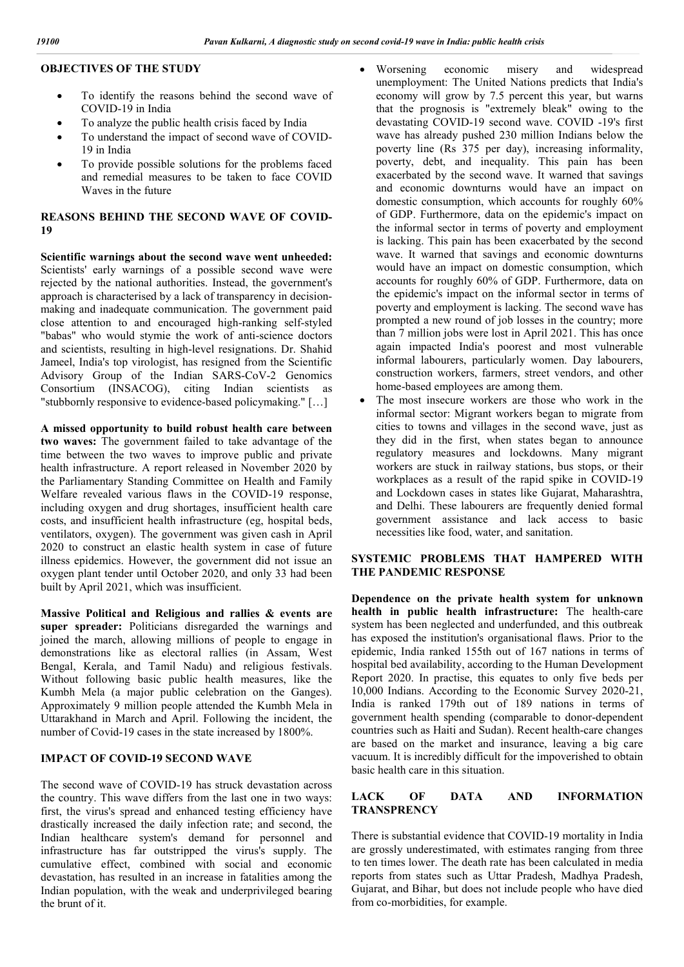## **OBJECTIVES OF THE STUDY**

- To identify the reasons behind the second wave of COVID-19 in India
- To analyze the public health crisis faced by India
- To understand the impact of second wave of COVID-19 in India
- To provide possible solutions for the problems faced and remedial measures to be taken to face COVID Waves in the future

## **REASONS BEHIND THE SECOND WAVE OF COVID-19**

**Scientific warnings about the second wave went unheeded:**  Scientists' early warnings of a possible second wave were rejected by the national authorities. Instead, the government's approach is characterised by a lack of transparency in decisionmaking and inadequate communication. The government paid close attention to and encouraged high-ranking self-styled "babas" who would stymie the work of anti-science doctors and scientists, resulting in high-level resignations. Dr. Shahid Jameel, India's top virologist, has resigned from the Scientific Advisory Group of the Indian SARS-CoV-2 Genomics Consortium (INSACOG), citing Indian scientists as "stubbornly responsive to evidence-based policymaking." […]

**A missed opportunity to build robust health care between two waves:** The government failed to take advantage of the time between the two waves to improve public and private health infrastructure. A report released in November 2020 by the Parliamentary Standing Committee on Health and Family Welfare revealed various flaws in the COVID-19 response, including oxygen and drug shortages, insufficient health care costs, and insufficient health infrastructure (eg, hospital beds, ventilators, oxygen). The government was given cash in April 2020 to construct an elastic health system in case of future illness epidemics. However, the government did not issue an oxygen plant tender until October 2020, and only 33 had been built by April 2021, which was insufficient.

**Massive Political and Religious and rallies & events are super spreader:** Politicians disregarded the warnings and joined the march, allowing millions of people to engage in demonstrations like as electoral rallies (in Assam, West Bengal, Kerala, and Tamil Nadu) and religious festivals. Without following basic public health measures, like the Kumbh Mela (a major public celebration on the Ganges). Approximately 9 million people attended the Kumbh Mela in Uttarakhand in March and April. Following the incident, the number of Covid-19 cases in the state increased by 1800%.

## **IMPACT OF COVID-19 SECOND WAVE**

The second wave of COVID-19 has struck devastation across the country. This wave differs from the last one in two ways: first, the virus's spread and enhanced testing efficiency have drastically increased the daily infection rate; and second, the Indian healthcare system's demand for personnel and infrastructure has far outstripped the virus's supply. The cumulative effect, combined with social and economic devastation, has resulted in an increase in fatalities among the Indian population, with the weak and underprivileged bearing the brunt of it.

- Worsening economic misery and widespread unemployment: The United Nations predicts that India's economy will grow by 7.5 percent this year, but warns that the prognosis is "extremely bleak" owing to the devastating COVID-19 second wave. COVID -19's first wave has already pushed 230 million Indians below the poverty line (Rs 375 per day), increasing informality, poverty, debt, and inequality. This pain has been exacerbated by the second wave. It warned that savings and economic downturns would have an impact on domestic consumption, which accounts for roughly 60% of GDP. Furthermore, data on the epidemic's impact on the informal sector in terms of poverty and employment is lacking. This pain has been exacerbated by the second wave. It warned that savings and economic downturns would have an impact on domestic consumption, which accounts for roughly 60% of GDP. Furthermore, data on the epidemic's impact on the informal sector in terms of poverty and employment is lacking. The second wave has prompted a new round of job losses in the country; more than 7 million jobs were lost in April 2021. This has once again impacted India's poorest and most vulnerable informal labourers, particularly women. Day labourers, construction workers, farmers, street vendors, and other home-based employees are among them.
- The most insecure workers are those who work in the informal sector: Migrant workers began to migrate from cities to towns and villages in the second wave, just as they did in the first, when states began to announce regulatory measures and lockdowns. Many migrant workers are stuck in railway stations, bus stops, or their workplaces as a result of the rapid spike in COVID-19 and Lockdown cases in states like Gujarat, Maharashtra, and Delhi. These labourers are frequently denied formal government assistance and lack access to basic necessities like food, water, and sanitation.

## **SYSTEMIC PROBLEMS THAT HAMPERED WITH THE PANDEMIC RESPONSE**

**Dependence on the private health system for unknown health in public health infrastructure:** The health-care system has been neglected and underfunded, and this outbreak has exposed the institution's organisational flaws. Prior to the epidemic, India ranked 155th out of 167 nations in terms of hospital bed availability, according to the Human Development Report 2020. In practise, this equates to only five beds per 10,000 Indians. According to the Economic Survey 2020-21, India is ranked 179th out of 189 nations in terms of government health spending (comparable to donor-dependent countries such as Haiti and Sudan). Recent health-care changes are based on the market and insurance, leaving a big care vacuum. It is incredibly difficult for the impoverished to obtain basic health care in this situation.

#### **LACK OF DATA AND INFORMATION TRANSPRENCY**

There is substantial evidence that COVID-19 mortality in India are grossly underestimated, with estimates ranging from three to ten times lower. The death rate has been calculated in media reports from states such as Uttar Pradesh, Madhya Pradesh, Gujarat, and Bihar, but does not include people who have died from co-morbidities, for example.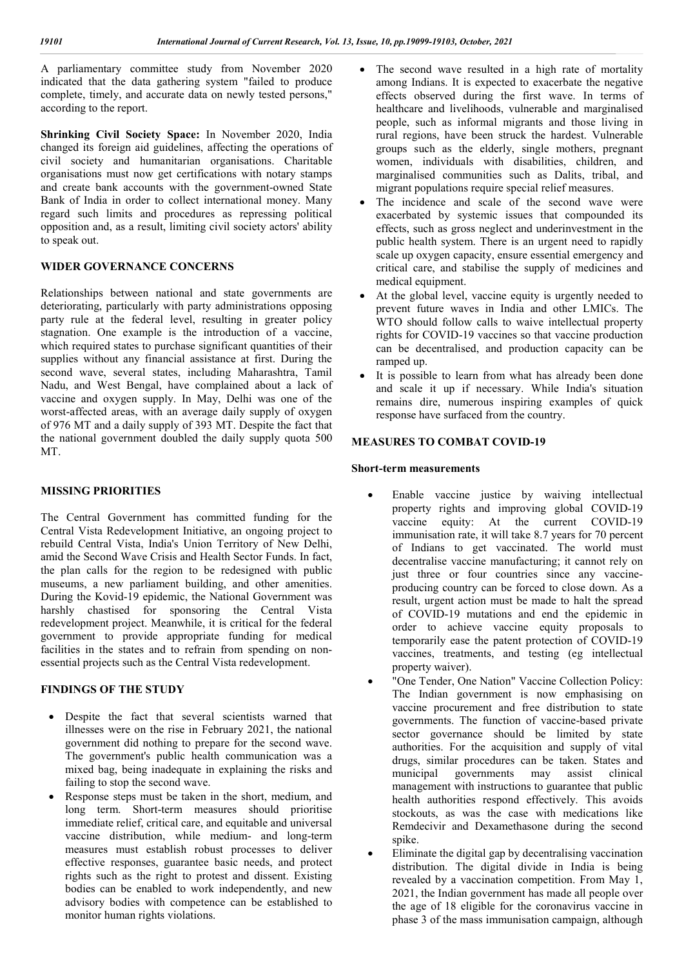A parliamentary committee study from November 2020 indicated that the data gathering system "failed to produce complete, timely, and accurate data on newly tested persons," according to the report.

**Shrinking Civil Society Space:** In November 2020, India changed its foreign aid guidelines, affecting the operations of civil society and humanitarian organisations. Charitable organisations must now get certifications with notary stamps and create bank accounts with the government-owned State Bank of India in order to collect international money. Many regard such limits and procedures as repressing political opposition and, as a result, limiting civil society actors' ability to speak out.

## **WIDER GOVERNANCE CONCERNS**

Relationships between national and state governments are deteriorating, particularly with party administrations opposing party rule at the federal level, resulting in greater policy stagnation. One example is the introduction of a vaccine, which required states to purchase significant quantities of their supplies without any financial assistance at first. During the second wave, several states, including Maharashtra, Tamil Nadu, and West Bengal, have complained about a lack of vaccine and oxygen supply. In May, Delhi was one of the worst-affected areas, with an average daily supply of oxygen of 976 MT and a daily supply of 393 MT. Despite the fact that the national government doubled the daily supply quota 500 MT.

## **MISSING PRIORITIES**

The Central Government has committed funding for the Central Vista Redevelopment Initiative, an ongoing project to rebuild Central Vista, India's Union Territory of New Delhi, amid the Second Wave Crisis and Health Sector Funds. In fact, the plan calls for the region to be redesigned with public museums, a new parliament building, and other amenities. During the Kovid-19 epidemic, the National Government was harshly chastised for sponsoring the Central Vista redevelopment project. Meanwhile, it is critical for the federal government to provide appropriate funding for medical facilities in the states and to refrain from spending on nonessential projects such as the Central Vista redevelopment.

## **FINDINGS OF THE STUDY**

- Despite the fact that several scientists warned that illnesses were on the rise in February 2021, the national government did nothing to prepare for the second wave. The government's public health communication was a mixed bag, being inadequate in explaining the risks and failing to stop the second wave.
- Response steps must be taken in the short, medium, and long term. Short-term measures should prioritise immediate relief, critical care, and equitable and universal vaccine distribution, while medium- and long-term measures must establish robust processes to deliver effective responses, guarantee basic needs, and protect rights such as the right to protest and dissent. Existing bodies can be enabled to work independently, and new advisory bodies with competence can be established to monitor human rights violations.
- The second wave resulted in a high rate of mortality among Indians. It is expected to exacerbate the negative effects observed during the first wave. In terms of healthcare and livelihoods, vulnerable and marginalised people, such as informal migrants and those living in rural regions, have been struck the hardest. Vulnerable groups such as the elderly, single mothers, pregnant women, individuals with disabilities, children, and marginalised communities such as Dalits, tribal, and migrant populations require special relief measures.
- The incidence and scale of the second wave were exacerbated by systemic issues that compounded its effects, such as gross neglect and underinvestment in the public health system. There is an urgent need to rapidly scale up oxygen capacity, ensure essential emergency and critical care, and stabilise the supply of medicines and medical equipment.
- At the global level, vaccine equity is urgently needed to prevent future waves in India and other LMICs. The WTO should follow calls to waive intellectual property rights for COVID-19 vaccines so that vaccine production can be decentralised, and production capacity can be ramped up.
- It is possible to learn from what has already been done and scale it up if necessary. While India's situation remains dire, numerous inspiring examples of quick response have surfaced from the country.

## **MEASURES TO COMBAT COVID-19**

## **Short-term measurements**

- Enable vaccine justice by waiving intellectual property rights and improving global COVID-19 vaccine equity: At the current COVID-19 immunisation rate, it will take 8.7 years for 70 percent of Indians to get vaccinated. The world must decentralise vaccine manufacturing; it cannot rely on just three or four countries since any vaccineproducing country can be forced to close down. As a result, urgent action must be made to halt the spread of COVID-19 mutations and end the epidemic in order to achieve vaccine equity proposals to temporarily ease the patent protection of COVID-19 vaccines, treatments, and testing (eg intellectual property waiver).
- "One Tender, One Nation" Vaccine Collection Policy: The Indian government is now emphasising on vaccine procurement and free distribution to state governments. The function of vaccine-based private sector governance should be limited by state authorities. For the acquisition and supply of vital drugs, similar procedures can be taken. States and municipal governments may assist clinical management with instructions to guarantee that public health authorities respond effectively. This avoids stockouts, as was the case with medications like Remdecivir and Dexamethasone during the second spike.
- Eliminate the digital gap by decentralising vaccination distribution. The digital divide in India is being revealed by a vaccination competition. From May 1, 2021, the Indian government has made all people over the age of 18 eligible for the coronavirus vaccine in phase 3 of the mass immunisation campaign, although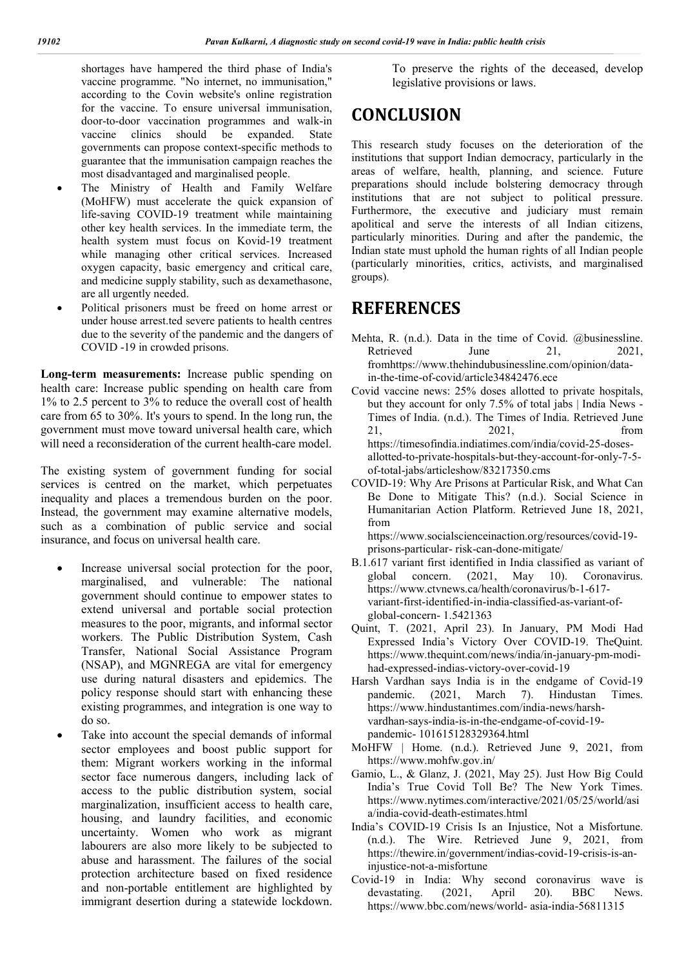shortages have hampered the third phase of India's vaccine programme. "No internet, no immunisation," according to the Covin website's online registration for the vaccine. To ensure universal immunisation, door-to-door vaccination programmes and walk-in vaccine clinics should be expanded. State governments can propose context-specific methods to guarantee that the immunisation campaign reaches the most disadvantaged and marginalised people.

- The Ministry of Health and Family Welfare (MoHFW) must accelerate the quick expansion of life-saving COVID-19 treatment while maintaining other key health services. In the immediate term, the health system must focus on Kovid-19 treatment while managing other critical services. Increased oxygen capacity, basic emergency and critical care, and medicine supply stability, such as dexamethasone, are all urgently needed.
- Political prisoners must be freed on home arrest or under house arrest.ted severe patients to health centres due to the severity of the pandemic and the dangers of COVID -19 in crowded prisons.

**Long-term measurements:** Increase public spending on health care: Increase public spending on health care from 1% to 2.5 percent to 3% to reduce the overall cost of health care from 65 to 30%. It's yours to spend. In the long run, the government must move toward universal health care, which will need a reconsideration of the current health-care model.

The existing system of government funding for social services is centred on the market, which perpetuates inequality and places a tremendous burden on the poor. Instead, the government may examine alternative models, such as a combination of public service and social insurance, and focus on universal health care.

- Increase universal social protection for the poor, marginalised, and vulnerable: The national government should continue to empower states to extend universal and portable social protection measures to the poor, migrants, and informal sector workers. The Public Distribution System, Cash Transfer, National Social Assistance Program (NSAP), and MGNREGA are vital for emergency use during natural disasters and epidemics. The policy response should start with enhancing these existing programmes, and integration is one way to do so.
- Take into account the special demands of informal sector employees and boost public support for them: Migrant workers working in the informal sector face numerous dangers, including lack of access to the public distribution system, social marginalization, insufficient access to health care, housing, and laundry facilities, and economic uncertainty. Women who work as migrant labourers are also more likely to be subjected to abuse and harassment. The failures of the social protection architecture based on fixed residence and non-portable entitlement are highlighted by immigrant desertion during a statewide lockdown.

To preserve the rights of the deceased, develop legislative provisions or laws.

# **CONCLUSION**

This research study focuses on the deterioration of the institutions that support Indian democracy, particularly in the areas of welfare, health, planning, and science. Future preparations should include bolstering democracy through institutions that are not subject to political pressure. Furthermore, the executive and judiciary must remain apolitical and serve the interests of all Indian citizens, particularly minorities. During and after the pandemic, the Indian state must uphold the human rights of all Indian people (particularly minorities, critics, activists, and marginalised groups).

## **REFERENCES**

- Mehta, R. (n.d.). Data in the time of Covid. @businessline. Retrieved June 21, 2021, fromhttps://www.thehindubusinessline.com/opinion/datain-the-time-of-covid/article34842476.ece
- Covid vaccine news: 25% doses allotted to private hospitals, but they account for only 7.5% of total jabs | India News - Times of India. (n.d.). The Times of India. Retrieved June 21, 2021, from https://timesofindia.indiatimes.com/india/covid-25-dosesallotted-to-private-hospitals-but-they-account-for-only-7-5 of-total-jabs/articleshow/83217350.cms
- COVID-19: Why Are Prisons at Particular Risk, and What Can Be Done to Mitigate This? (n.d.). Social Science in Humanitarian Action Platform. Retrieved June 18, 2021, from

https://www.socialscienceinaction.org/resources/covid-19 prisons-particular- risk-can-done-mitigate/

- B.1.617 variant first identified in India classified as variant of global concern. (2021, May 10). Coronavirus. https://www.ctvnews.ca/health/coronavirus/b-1-617 variant-first-identified-in-india-classified-as-variant-ofglobal-concern- 1.5421363
- Quint, T. (2021, April 23). In January, PM Modi Had Expressed India's Victory Over COVID-19. TheQuint. https://www.thequint.com/news/india/in-january-pm-modihad-expressed-indias-victory-over-covid-19
- Harsh Vardhan says India is in the endgame of Covid-19 pandemic. (2021, March 7). Hindustan Times. https://www.hindustantimes.com/india-news/harshvardhan-says-india-is-in-the-endgame-of-covid-19 pandemic- 101615128329364.html
- MoHFW | Home. (n.d.). Retrieved June 9, 2021, from https://www.mohfw.gov.in/
- Gamio, L., & Glanz, J. (2021, May 25). Just How Big Could India's True Covid Toll Be? The New York Times. https://www.nytimes.com/interactive/2021/05/25/world/asi a/india-covid-death-estimates.html
- India's COVID-19 Crisis Is an Injustice, Not a Misfortune. (n.d.). The Wire. Retrieved June 9, 2021, from https://thewire.in/government/indias-covid-19-crisis-is-aninjustice-not-a-misfortune
- Covid-19 in India: Why second coronavirus wave is devastating. (2021, April 20). BBC News. https://www.bbc.com/news/world- asia-india-56811315